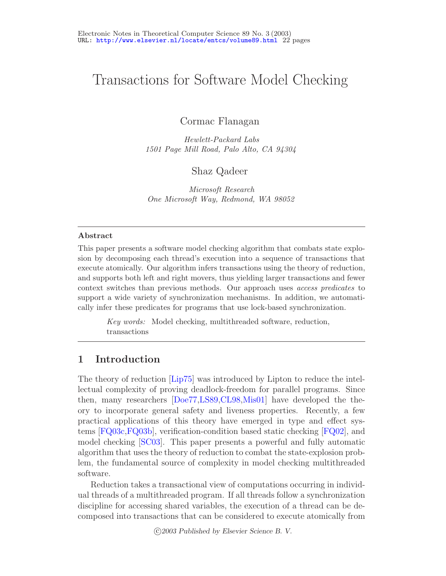# Transactions for Software Model Checking

Cormac Flanagan

*Hewlett-Packard Labs 1501 Page Mill Road, Palo Alto, CA 94304*

Shaz Qadeer

*Microsoft Research One Microsoft Way, Redmond, WA 98052*

#### **Abstract**

This paper presents a software model checking algorithm that combats state explosion by decomposing each thread's execution into a sequence of transactions that execute atomically. Our algorithm infers transactions using the theory of reduction, and supports both left and right movers, thus yielding larger transactions and fewer context switches than previous methods. Our approach uses *access predicates* to support a wide variety of synchronization mechanisms. In addition, we automatically infer these predicates for programs that use lock-based synchronization.

> *Key words:* Model checking, multithreaded software, reduction, transactions

# **1 Introduction**

The theory of reduction [\[Lip75\]](#page-16-0) was introduced by Lipton to reduce the intellectual complexity of proving deadlock-freedom for parallel programs. Since then, many researchers [\[Doe77,](#page-15-0)[LS89,](#page-16-1)[CL98](#page-15-1)[,Mis01\]](#page-16-2) have developed the theory to incorporate general safety and liveness properties. Recently, a few practical applications of this theory have emerged in type and effect systems [\[FQ03c](#page-16-3)[,FQ03b\]](#page-16-4), verification-condition based static checking [\[FQ02\]](#page-16-5), and model checking [\[SC03\]](#page-17-0). This paper presents a powerful and fully automatic algorithm that uses the theory of reduction to combat the state-explosion problem, the fundamental source of complexity in model checking multithreaded software.

Reduction takes a transactional view of computations occurring in individual threads of a multithreaded program. If all threads follow a synchronization discipline for accessing shared variables, the execution of a thread can be decomposed into transactions that can be considered to execute atomically from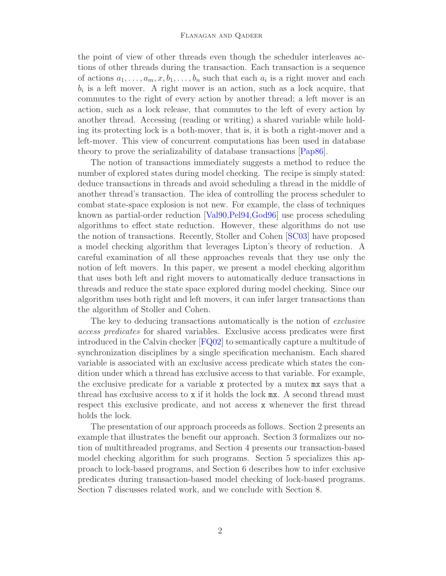#### Flanagan and Qadeer

the point of view of other threads even though the scheduler interleaves actions of other threads during the transaction. Each transaction is a sequence of actions  $a_1, \ldots, a_m, x, b_1, \ldots, b_n$  such that each  $a_i$  is a right mover and each  $b_i$  is a left mover. A right mover is an action, such as a lock acquire, that commutes to the right of every action by another thread; a left mover is an action, such as a lock release, that commutes to the left of every action by another thread. Accessing (reading or writing) a shared variable while holding its protecting lock is a both-mover, that is, it is both a right-mover and a left-mover. This view of concurrent computations has been used in database theory to prove the serializability of database transactions [\[Pap86\]](#page-16-6).

The notion of transactions immediately suggests a method to reduce the number of explored states during model checking. The recipe is simply stated: deduce transactions in threads and avoid scheduling a thread in the middle of another thread's transaction. The idea of controlling the process scheduler to combat state-space explosion is not new. For example, the class of techniques known as partial-order reduction [\[Val90,](#page-17-1)[Pel94,](#page-16-7)[God96\]](#page-16-8) use process scheduling algorithms to effect state reduction. However, these algorithms do not use the notion of transactions. Recently, Stoller and Cohen [\[SC03\]](#page-17-0) have proposed a model checking algorithm that leverages Lipton's theory of reduction. A careful examination of all these approaches reveals that they use only the notion of left movers. In this paper, we present a model checking algorithm that uses both left and right movers to automatically deduce transactions in threads and reduce the state space explored during model checking. Since our algorithm uses both right and left movers, it can infer larger transactions than the algorithm of Stoller and Cohen.

The key to deducing transactions automatically is the notion of exclusive access predicates for shared variables. Exclusive access predicates were first introduced in the Calvin checker [\[FQ02\]](#page-16-5) to semantically capture a multitude of synchronization disciplines by a single specification mechanism. Each shared variable is associated with an exclusive access predicate which states the condition under which a thread has exclusive access to that variable. For example, the exclusive predicate for a variable x protected by a mutex mx says that a thread has exclusive access to x if it holds the lock mx. A second thread must respect this exclusive predicate, and not access x whenever the first thread holds the lock.

The presentation of our approach proceeds as follows. Section 2 presents an example that illustrates the benefit our approach. Section 3 formalizes our notion of multithreaded programs, and Section 4 presents our transaction-based model checking algorithm for such programs. Section 5 specializes this approach to lock-based programs, and Section 6 describes how to infer exclusive predicates during transaction-based model checking of lock-based programs. Section 7 discusses related work, and we conclude with Section 8.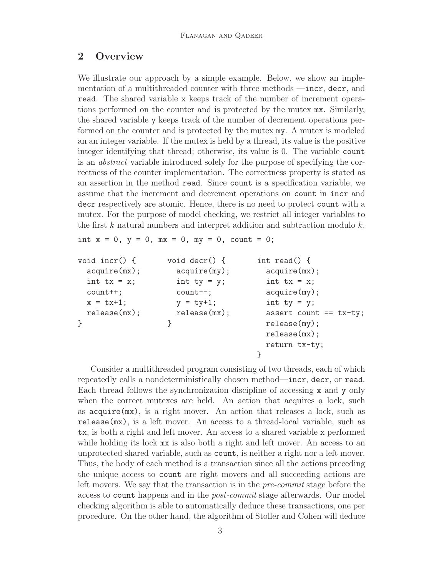# <span id="page-2-0"></span>**2 Overview**

We illustrate our approach by a simple example. Below, we show an implementation of a multithreaded counter with three methods —incr, decr, and read. The shared variable x keeps track of the number of increment operations performed on the counter and is protected by the mutex mx. Similarly, the shared variable y keeps track of the number of decrement operations performed on the counter and is protected by the mutex my. A mutex is modeled an an integer variable. If the mutex is held by a thread, its value is the positive integer identifying that thread; otherwise, its value is 0. The variable count is an abstract variable introduced solely for the purpose of specifying the correctness of the counter implementation. The correctness property is stated as an assertion in the method read. Since count is a specification variable, we assume that the increment and decrement operations on count in incr and decr respectively are atomic. Hence, there is no need to protect count with a mutex. For the purpose of model checking, we restrict all integer variables to the first k natural numbers and interpret addition and subtraction modulo  $k$ .

```
int x = 0, y = 0, mx = 0, my = 0, count = 0;
```

```
void incr() { void decr() { int read() {
 acquire(mx); acquire(my); acquire(mx);
 int tx = x; int ty = y; int tx = x;
 count++; count--; \qquad \qquad \text{acquire}(\text{my});
 x = tx+1; y = ty+1; int ty = y;
 release(mx); release(mx); assert count == tx-ty;} \qquad \qquad release(my);
                                release(mx);
                                return tx-ty;
                               }
```
Consider a multithreaded program consisting of two threads, each of which repeatedly calls a nondeterministically chosen method—incr, decr, or read. Each thread follows the synchronization discipline of accessing x and y only when the correct mutexes are held. An action that acquires a lock, such as acquire(mx), is a right mover. An action that releases a lock, such as release(mx), is a left mover. An access to a thread-local variable, such as tx, is both a right and left mover. An access to a shared variable x performed while holding its lock mx is also both a right and left mover. An access to an unprotected shared variable, such as count, is neither a right nor a left mover. Thus, the body of each method is a transaction since all the actions preceding the unique access to count are right movers and all succeeding actions are left movers. We say that the transaction is in the pre-commit stage before the access to count happens and in the post-commit stage afterwards. Our model checking algorithm is able to automatically deduce these transactions, one per procedure. On the other hand, the algorithm of Stoller and Cohen will deduce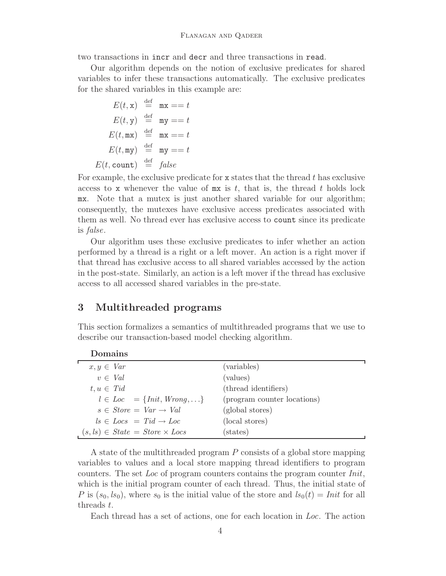two transactions in incr and decr and three transactions in read.

Our algorithm depends on the notion of exclusive predicates for shared variables to infer these transactions automatically. The exclusive predicates for the shared variables in this example are:

$$
E(t, \mathbf{x}) \stackrel{\text{def}}{=} \mathbf{mx} == t
$$
  

$$
E(t, \mathbf{y}) \stackrel{\text{def}}{=} \mathbf{my} == t
$$
  

$$
E(t, \mathbf{mx}) \stackrel{\text{def}}{=} \mathbf{mx} == t
$$
  

$$
E(t, \mathbf{my}) \stackrel{\text{def}}{=} \mathbf{my} == t
$$
  

$$
E(t, \text{count}) \stackrel{\text{def}}{=} false
$$

For example, the exclusive predicate for  $x$  states that the thread t has exclusive access to x whenever the value of  $mx$  is t, that is, the thread t holds lock mx. Note that a mutex is just another shared variable for our algorithm; consequently, the mutexes have exclusive access predicates associated with them as well. No thread ever has exclusive access to count since its predicate is false.

Our algorithm uses these exclusive predicates to infer whether an action performed by a thread is a right or a left mover. An action is a right mover if that thread has exclusive access to all shared variables accessed by the action in the post-state. Similarly, an action is a left mover if the thread has exclusive access to all accessed shared variables in the pre-state.

# <span id="page-3-0"></span>**3 Multithreaded programs**

**Domains**

This section formalizes a semantics of multithreaded programs that we use to describe our transaction-based model checking algorithm.

| $x, y \in Var$                          | (variables)                 |
|-----------------------------------------|-----------------------------|
| $v \in Val$                             | (values)                    |
| $t, u \in Tid$                          | (thread identifiers)        |
| $l \in Loc = \{Init, Wrong, \ldots\}$   | (program counter locations) |
| $s \in Store = Var \rightarrow Val$     | (global stores)             |
| $ls \in Locs = Tid \rightarrow Loc$     | (local stores)              |
| $(s, ls) \in State = Store \times Loss$ | (states)                    |

A state of the multithreaded program P consists of a global store mapping variables to values and a local store mapping thread identifiers to program counters. The set Loc of program counters contains the program counter Init, which is the initial program counter of each thread. Thus, the initial state of P is  $(s_0, ls_0)$ , where  $s_0$  is the initial value of the store and  $ls_0(t) = Init$  for all threads t.

Each thread has a set of actions, one for each location in Loc. The action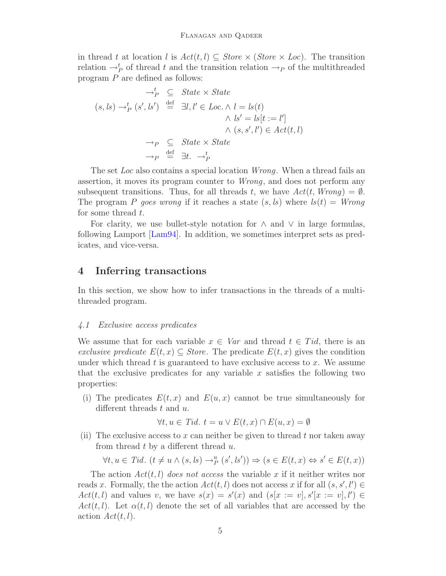in thread t at location l is  $Act(t, l) \subseteq Store \times (Store \times Loc)$ . The transition relation  $\rightarrow_P^t$  of thread t and the transition relation  $\rightarrow_P$  of the multithreaded program P are defined as follows:

$$
\rightarrow_P^t \subseteq State \times State
$$
  
\n $(s, ls) \rightarrow_P^t (s', ls') \stackrel{\text{def}}{=} \exists l, l' \in Loc. \land l = ls(t)$   
\n $\land ls' = ls[t := l']$   
\n $\land (s, s', l') \in Act(t, l)$   
\n $\rightarrow_P \subseteq State \times State$   
\n $\rightarrow_P \stackrel{\text{def}}{=} \exists t. \rightarrow_P^t$ 

The set Loc also contains a special location Wrong. When a thread fails an assertion, it moves its program counter to Wrong, and does not perform any subsequent transitions. Thus, for all threads t, we have  $Act(t, Wrong) = \emptyset$ . The program P goes wrong if it reaches a state  $(s, ls)$  where  $ls(t) = Wrong$ for some thread t.

For clarity, we use bullet-style notation for  $\land$  and  $\lor$  in large formulas, following Lamport [\[Lam94\]](#page-16-9). In addition, we sometimes interpret sets as predicates, and vice-versa.

## <span id="page-4-0"></span>**4 Inferring transactions**

In this section, we show how to infer transactions in the threads of a multithreaded program.

#### 4.1 Exclusive access predicates

We assume that for each variable  $x \in Var$  and thread  $t \in Tid$ , there is an exclusive predicate  $E(t, x) \subseteq Store$ . The predicate  $E(t, x)$  gives the condition under which thread  $t$  is guaranteed to have exclusive access to  $x$ . We assume that the exclusive predicates for any variable  $x$  satisfies the following two properties:

(i) The predicates  $E(t, x)$  and  $E(u, x)$  cannot be true simultaneously for different threads  $t$  and  $u$ .

$$
\forall t, u \in T id. \ t = u \lor E(t, x) \cap E(u, x) = \emptyset
$$

(ii) The exclusive access to x can neither be given to thread t nor taken away from thread  $t$  by a different thread  $u$ .

$$
\forall t, u \in \textit{Tid. } (t \neq u \land (s, ls) \rightarrow^u_P (s', ls')) \Rightarrow (s \in E(t, x) \Leftrightarrow s' \in E(t, x))
$$

The action  $Act(t, l)$  does not access the variable x if it neither writes nor reads x. Formally, the the action  $Act(t, l)$  does not access x if for all  $(s, s', l') \in$  $Act(t, l)$  and values v, we have  $s(x) = s'(x)$  and  $(s[x := v], s'[x := v], l') \in$  $Act(t, l)$ . Let  $\alpha(t, l)$  denote the set of all variables that are accessed by the action  $Act(t, l)$ .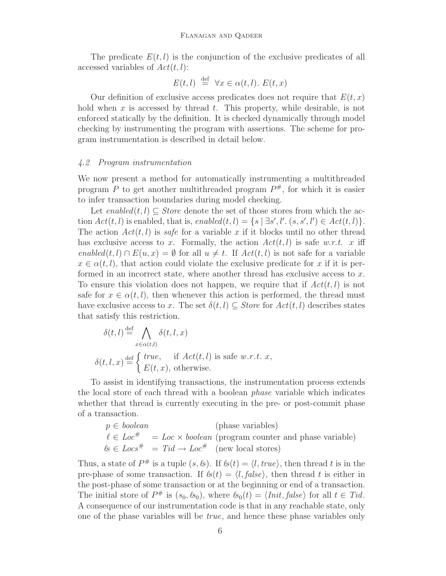#### Flanagan and Qadeer

The predicate  $E(t, l)$  is the conjunction of the exclusive predicates of all accessed variables of  $Act(t, l)$ :

$$
E(t, l) \stackrel{\text{def}}{=} \forall x \in \alpha(t, l). E(t, x)
$$

Our definition of exclusive access predicates does not require that  $E(t, x)$ hold when x is accessed by thread t. This property, while desirable, is not enforced statically by the definition. It is checked dynamically through model checking by instrumenting the program with assertions. The scheme for program instrumentation is described in detail below.

#### <span id="page-5-0"></span>4.2 Program instrumentation

We now present a method for automatically instrumenting a multithreaded program P to get another multithreaded program  $P^{\#}$ , for which it is easier to infer transaction boundaries during model checking.

Let  $enabled(t, l) \subseteq Store$  denote the set of those stores from which the action  $Act(t, l)$  is enabled, that is,  $enabled(t, l) = \{s \mid \exists s', l'. (s, s', l') \in Act(t, l)\}.$ The action  $Act(t, l)$  is safe for a variable x if it blocks until no other thread has exclusive access to x. Formally, the action  $Act(t, l)$  is safe w.r.t. x iff enabled $(t, l) \cap E(u, x) = \emptyset$  for all  $u \neq t$ . If  $Act(t, l)$  is not safe for a variable  $x \in \alpha(t, l)$ , that action could violate the exclusive predicate for x if it is performed in an incorrect state, where another thread has exclusive access to x. To ensure this violation does not happen, we require that if  $Act(t, l)$  is not safe for  $x \in \alpha(t, l)$ , then whenever this action is performed, the thread must have exclusive access to x. The set  $\delta(t, l) \subseteq \textit{Store}$  for  $\textit{Act}(t, l)$  describes states that satisfy this restriction.

$$
\delta(t,l) \stackrel{\text{def}}{=} \bigwedge_{x \in \alpha(t,l)} \delta(t,l,x)
$$

$$
\delta(t,l,x) \stackrel{\text{def}}{=} \begin{cases} \text{true}, & \text{if } Act(t,l) \text{ is safe } w.r.t. \ x, \\ E(t,x), \text{ otherwise.} \end{cases}
$$

To assist in identifying transactions, the instrumentation process extends the local store of each thread with a boolean phase variable which indicates whether that thread is currently executing in the pre- or post-commit phase of a transaction.

$$
p \in boolean
$$
 (phase variables)  
\n
$$
\ell \in Loc^{\#} = Loc \times boolean \text{ (program counter and phase variable)}
$$
  
\n
$$
\ell s \in Loc^{\#} = Tid \rightarrow Loc^{\#} \text{ (new local stores)}
$$

Thus, a state of  $P^{\#}$  is a tuple  $(s, \&)$ . If  $\&(t) = \langle l, \text{true} \rangle$ , then thread t is in the pre-phase of some transaction. If  $\mathcal{L}(t) = \langle l, \text{false} \rangle$ , then thread t is either in the post-phase of some transaction or at the beginning or end of a transaction. The initial store of  $P^{\#}$  is  $(s_0, k_0)$ , where  $k_0(t) = \langle Init, false \rangle$  for all  $t \in Tid$ . A consequence of our instrumentation code is that in any reachable state, only one of the phase variables will be true, and hence these phase variables only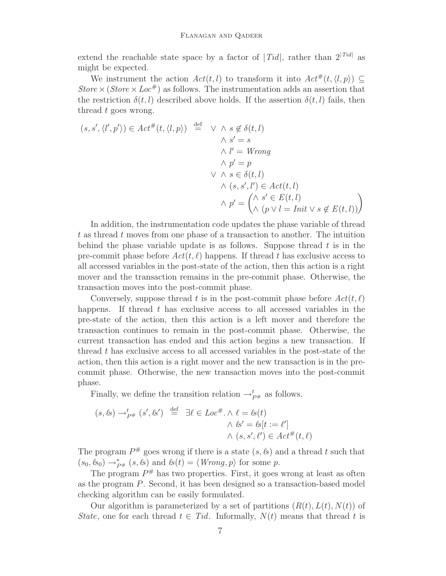extend the reachable state space by a factor of  $|Tid|$ , rather than  $2^{|Tid|}$  as might be expected.

We instrument the action  $Act(t, l)$  to transform it into  $Act^{\#}(t, \langle l, p \rangle) \subseteq$ Store  $\times$  (Store  $\times$  Loc<sup>#</sup>) as follows. The instrumentation adds an assertion that the restriction  $\delta(t, l)$  described above holds. If the assertion  $\delta(t, l)$  fails, then thread t goes wrong.

$$
(s, s', \langle l', p' \rangle) \in Act^{\#}(t, \langle l, p \rangle) \stackrel{\text{def}}{=} \vee \wedge s \notin \delta(t, l)
$$
  

$$
\wedge s' = s
$$
  

$$
\wedge l' = Wrong
$$
  

$$
\wedge p' = p
$$
  

$$
\vee \wedge s \in \delta(t, l)
$$
  

$$
\wedge (s, s', l') \in Act(t, l)
$$
  

$$
\wedge p' = \begin{pmatrix} \wedge s' \in E(t, l) \\ \wedge (p \vee l =Init \vee s \notin E(t, l)) \end{pmatrix}
$$

In addition, the instrumentation code updates the phase variable of thread t as thread t moves from one phase of a transaction to another. The intuition behind the phase variable update is as follows. Suppose thread  $t$  is in the pre-commit phase before  $Act(t, \ell)$  happens. If thread t has exclusive access to all accessed variables in the post-state of the action, then this action is a right mover and the transaction remains in the pre-commit phase. Otherwise, the transaction moves into the post-commit phase.

Conversely, suppose thread t is in the post-commit phase before  $Act(t, \ell)$ happens. If thread  $t$  has exclusive access to all accessed variables in the pre-state of the action, then this action is a left mover and therefore the transaction continues to remain in the post-commit phase. Otherwise, the current transaction has ended and this action begins a new transaction. If thread t has exclusive access to all accessed variables in the post-state of the action, then this action is a right mover and the new transaction is in the precommit phase. Otherwise, the new transaction moves into the post-commit phase.

Finally, we define the transition relation  $\rightarrow_{P^{\#}}^{t}$  as follows.

$$
(s, \ell s) \rightarrow_{P^{\#}}^t (s', \ell s') \stackrel{\text{def}}{=} \exists \ell \in Loc^{\#}.\land \ell = \ell s(t)
$$

$$
\land \ell s' = \ell s[t := \ell']
$$

$$
\land (s, s', \ell') \in Act^{\#}(t, \ell)
$$

The program  $P^{\#}$  goes wrong if there is a state  $(s, \&)$  and a thread t such that  $(s_0, \ell s_0) \rightarrow_{P^*}^* (s, \ell s)$  and  $\ell s(t) = \langle Wrong, p \rangle$  for some p.

The program  $P^{\#}$  has two properties. First, it goes wrong at least as often as the program P. Second, it has been designed so a transaction-based model checking algorithm can be easily formulated.

Our algorithm is parameterized by a set of partitions  $(R(t), L(t), N(t))$  of State, one for each thread  $t \in Tid$ . Informally,  $N(t)$  means that thread t is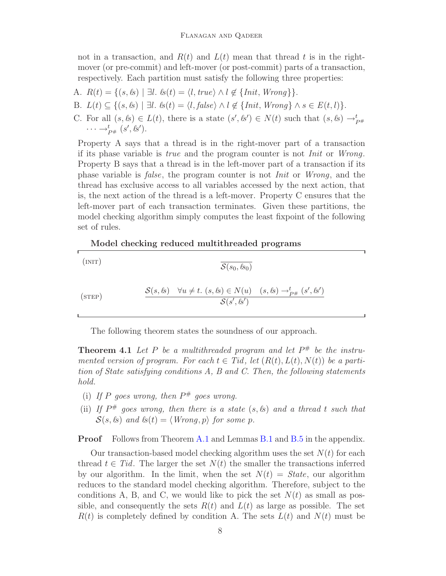not in a transaction, and  $R(t)$  and  $L(t)$  mean that thread t is in the rightmover (or pre-commit) and left-mover (or post-commit) parts of a transaction, respectively. Each partition must satisfy the following three properties:

- A.  $R(t) = \{(s, \&\}) \mid \exists l. \& (t) = \langle l, \mathit{true} \rangle \land l \notin \{\mathit{Init}, \mathit{Wrong}\}\}.$
- B.  $L(t) \subseteq \{(s, k)| \exists l. \; \text{ls}(t) = \langle l, \text{false} \rangle \land l \notin \{\text{Init}, \text{Wrong}\} \land s \in E(t, l)\}.$
- C. For all  $(s, \ell s) \in L(t)$ , there is a state  $(s', \ell s') \in N(t)$  such that  $(s, \ell s) \to_{P^{\#}}^t$  $\cdots \rightarrow_{P^{\#}}^t (s', \ell s').$

Property A says that a thread is in the right-mover part of a transaction if its phase variable is true and the program counter is not Init or Wrong. Property B says that a thread is in the left-mover part of a transaction if its phase variable is false, the program counter is not Init or Wrong, and the thread has exclusive access to all variables accessed by the next action, that is, the next action of the thread is a left-mover. Property C ensures that the left-mover part of each transaction terminates. Given these partitions, the model checking algorithm simply computes the least fixpoint of the following set of rules.

#### **Model checking reduced multithreaded programs**

(INIT)  $\overline{S(s_0, \ell s_0)}$ 

$$
\text{(STEP)} \qquad \qquad \frac{\mathcal{S}(s, \ell s) \quad \forall u \neq t. \ (s, \ell s) \in N(u) \quad (s, \ell s) \rightarrow_{P^{\#}}^t (s', \ell s')}{\mathcal{S}(s', \ell s')}
$$

The following theorem states the soundness of our approach.

<span id="page-7-0"></span>**Theorem 4.1** Let P be a multithreaded program and let  $P^{\#}$  be the instrumented version of program. For each  $t \in Tid$ , let  $(R(t), L(t), N(t))$  be a partition of State satisfying conditions A, B and C. Then, the following statements hold.

- (i) If P goes wrong, then  $P^{\#}$  goes wrong.
- (ii) If  $P^{\#}$  goes wrong, then there is a state  $(s, \ell s)$  and a thread t such that  $S(s, k)$  and  $\ell s(t) = \langle$  Wrong, p $\rangle$  for some p.

**Proof** Follows from Theorem [A.1](#page-17-2) and Lemmas [B.1](#page-18-0) and [B.5](#page-20-0) in the appendix.

Our transaction-based model checking algorithm uses the set  $N(t)$  for each thread  $t \in Tid$ . The larger the set  $N(t)$  the smaller the transactions inferred by our algorithm. In the limit, when the set  $N(t) = State$ , our algorithm reduces to the standard model checking algorithm. Therefore, subject to the conditions A, B, and C, we would like to pick the set  $N(t)$  as small as possible, and consequently the sets  $R(t)$  and  $L(t)$  as large as possible. The set  $R(t)$  is completely defined by condition A. The sets  $L(t)$  and  $N(t)$  must be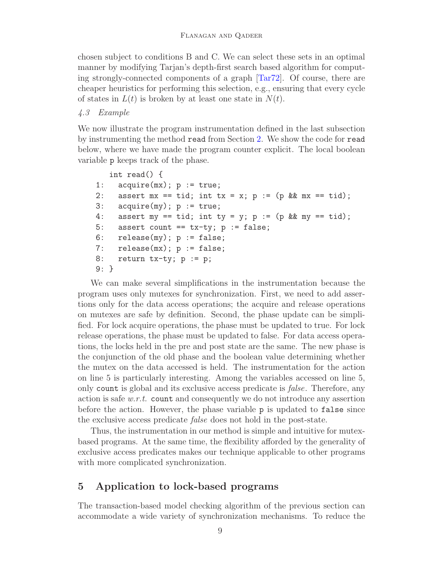chosen subject to conditions B and C. We can select these sets in an optimal manner by modifying Tarjan's depth-first search based algorithm for computing strongly-connected components of a graph [\[Tar72\]](#page-17-3). Of course, there are cheaper heuristics for performing this selection, e.g., ensuring that every cycle of states in  $L(t)$  is broken by at least one state in  $N(t)$ .

#### 4.3 Example

We now illustrate the program instrumentation defined in the last subsection by instrumenting the method read from Section [2.](#page-2-0) We show the code for read below, where we have made the program counter explicit. The local boolean variable p keeps track of the phase.

```
int read() {
1: acquire(mx); p := true;2: assert mx == tid; int tx = x; p := (p \&x mx == tid);
3: acquire(my); p := true;
4: assert my == tid; int ty = y; p := (p && my == tid);
5: assert count == tx-ty; p := false;
6: release(my); p := false;
7: release(mx); p := false;
8: return tx-ty; p := p;
9: }
```
We can make several simplifications in the instrumentation because the program uses only mutexes for synchronization. First, we need to add assertions only for the data access operations; the acquire and release operations on mutexes are safe by definition. Second, the phase update can be simplified. For lock acquire operations, the phase must be updated to true. For lock release operations, the phase must be updated to false. For data access operations, the locks held in the pre and post state are the same. The new phase is the conjunction of the old phase and the boolean value determining whether the mutex on the data accessed is held. The instrumentation for the action on line 5 is particularly interesting. Among the variables accessed on line 5, only count is global and its exclusive access predicate is false. Therefore, any action is safe w.r.t. count and consequently we do not introduce any assertion before the action. However, the phase variable p is updated to false since the exclusive access predicate false does not hold in the post-state.

Thus, the instrumentation in our method is simple and intuitive for mutexbased programs. At the same time, the flexibility afforded by the generality of exclusive access predicates makes our technique applicable to other programs with more complicated synchronization.

# <span id="page-8-0"></span>**5 Application to lock-based programs**

The transaction-based model checking algorithm of the previous section can accommodate a wide variety of synchronization mechanisms. To reduce the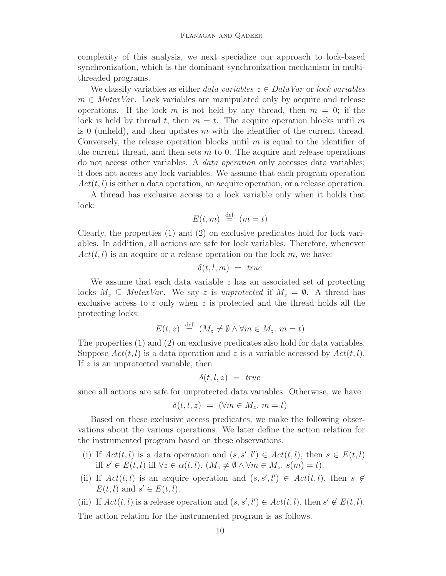complexity of this analysis, we next specialize our approach to lock-based synchronization, which is the dominant synchronization mechanism in multithreaded programs.

We classify variables as either data variables  $z \in DataVar$  or lock variables  $m \in$  MutexVar. Lock variables are manipulated only by acquire and release operations. If the lock m is not held by any thread, then  $m = 0$ ; if the lock is held by thread t, then  $m = t$ . The acquire operation blocks until m is 0 (unheld), and then updates  $m$  with the identifier of the current thread. Conversely, the release operation blocks until  $m$  is equal to the identifier of the current thread, and then sets  $m$  to 0. The acquire and release operations do not access other variables. A data operation only accesses data variables; it does not access any lock variables. We assume that each program operation  $Act(t, l)$  is either a data operation, an acquire operation, or a release operation.

A thread has exclusive access to a lock variable only when it holds that lock:

$$
E(t, m) \stackrel{\text{def}}{=} (m = t)
$$

Clearly, the properties (1) and (2) on exclusive predicates hold for lock variables. In addition, all actions are safe for lock variables. Therefore, whenever  $Act(t, l)$  is an acquire or a release operation on the lock m, we have:

$$
\delta(t,l,m) = \ true
$$

We assume that each data variable  $z$  has an associated set of protecting locks  $M_z \subseteq$  MutexVar. We say z is unprotected if  $M_z = \emptyset$ . A thread has exclusive access to  $z$  only when  $z$  is protected and the thread holds all the protecting locks:

$$
E(t, z) \stackrel{\text{def}}{=} (M_z \neq \emptyset \land \forall m \in M_z \colon m = t)
$$

The properties (1) and (2) on exclusive predicates also hold for data variables. Suppose  $Act(t, l)$  is a data operation and z is a variable accessed by  $Act(t, l)$ . If  $z$  is an unprotected variable, then

$$
\delta(t,l,z) = \ true
$$

since all actions are safe for unprotected data variables. Otherwise, we have

$$
\delta(t, l, z) = (\forall m \in M_z. m = t)
$$

Based on these exclusive access predicates, we make the following observations about the various operations. We later define the action relation for the instrumented program based on these observations.

- (i) If  $Act(t, l)$  is a data operation and  $(s, s', l') \in Act(t, l)$ , then  $s \in E(t, l)$ iff  $s' \in E(t, l)$  iff  $\forall z \in \alpha(t, l)$ .  $(M_z \neq \emptyset \land \forall m \in M_z$ .  $s(m) = t$ ).
- (ii) If  $Act(t, l)$  is an acquire operation and  $(s, s', l') \in Act(t, l)$ , then  $s \notin$  $E(t, l)$  and  $s' \in E(t, l)$ .

(iii) If  $Act(t, l)$  is a release operation and  $(s, s', l') \in Act(t, l)$ , then  $s' \notin E(t, l)$ .

The action relation for the instrumented program is as follows.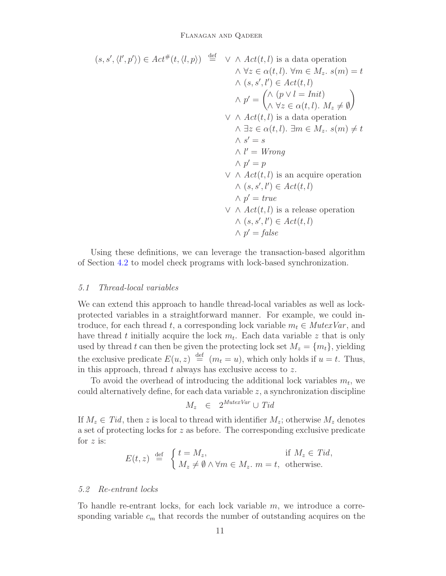$$
(s, s', \langle l', p' \rangle) \in Act^{\#}(t, \langle l, p \rangle) \stackrel{\text{def}}{=} \vee \wedge Act(t, l) \text{ is a data operation}
$$
  
\n
$$
\wedge \forall z \in \alpha(t, l). \forall m \in M_z. s(m) = t
$$
  
\n
$$
\wedge (s, s', l') \in Act(t, l)
$$
  
\n
$$
\wedge p' = \begin{pmatrix} \wedge (p \vee l =Init) \\ \wedge \forall z \in \alpha(t, l). M_z \neq \emptyset \end{pmatrix}
$$
  
\n
$$
\vee \wedge Act(t, l) \text{ is a data operation}
$$
  
\n
$$
\wedge \exists z \in \alpha(t, l). \exists m \in M_z. s(m) \neq t
$$
  
\n
$$
\wedge s' = s
$$
  
\n
$$
\wedge l' = Wrong
$$
  
\n
$$
\wedge p' = p
$$
  
\n
$$
\vee \wedge Act(t, l) \text{ is an acquire operation}
$$
  
\n
$$
\wedge (s, s', l') \in Act(t, l)
$$
  
\n
$$
\wedge p' = true
$$
  
\n
$$
\vee \wedge Act(t, l) \text{ is a release operation}
$$
  
\n
$$
\wedge (s, s', l') \in Act(t, l)
$$
  
\n
$$
\wedge p' = false
$$

Using these definitions, we can leverage the transaction-based algorithm of Section [4.2](#page-5-0) to model check programs with lock-based synchronization.

#### 5.1 Thread-local variables

We can extend this approach to handle thread-local variables as well as lockprotected variables in a straightforward manner. For example, we could introduce, for each thread t, a corresponding lock variable  $m_t \in M \leq N \leq N \leq n$ , and have thread t initially acquire the lock  $m_t$ . Each data variable z that is only used by thread t can then be given the protecting lock set  $M_z = \{m_t\}$ , yielding the exclusive predicate  $E(u, z) \stackrel{\text{def}}{=} (m_t = u)$ , which only holds if  $u = t$ . Thus, in this approach, thread  $t$  always has exclusive access to  $z$ .

To avoid the overhead of introducing the additional lock variables  $m_t$ , we could alternatively define, for each data variable  $z$ , a synchronization discipline

$$
M_z \in 2^{\text{MutexVar}} \cup \text{Tid}
$$

If  $M_z \in Tid$ , then z is local to thread with identifier  $M_z$ ; otherwise  $M_z$  denotes a set of protecting locks for z as before. The corresponding exclusive predicate for  $z$  is:

$$
E(t, z) \stackrel{\text{def}}{=} \begin{cases} t = M_z, & \text{if } M_z \in Tid, \\ M_z \neq \emptyset \land \forall m \in M_z, m = t, \text{ otherwise.} \end{cases}
$$

#### 5.2 Re-entrant locks

To handle re-entrant locks, for each lock variable  $m$ , we introduce a corresponding variable  $c_m$  that records the number of outstanding acquires on the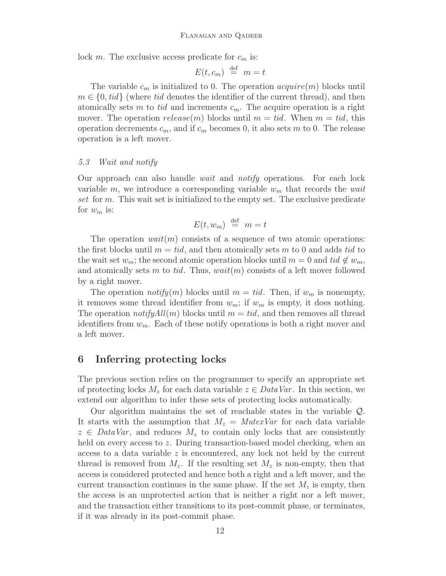lock m. The exclusive access predicate for  $c_m$  is:

$$
E(t, c_m) \stackrel{\text{def}}{=} m = t
$$

The variable  $c_m$  is initialized to 0. The operation  $acquire(m)$  blocks until  $m \in \{0, tid\}$  (where tid denotes the identifier of the current thread), and then atomically sets m to tid and increments  $c_m$ . The acquire operation is a right mover. The operation  $release(m)$  blocks until  $m = tid$ . When  $m = tid$ , this operation decrements  $c_m$ , and if  $c_m$  becomes 0, it also sets m to 0. The release operation is a left mover.

#### 5.3 Wait and notify

Our approach can also handle wait and notify operations. For each lock variable m, we introduce a corresponding variable  $w<sub>m</sub>$  that records the wait set for m. This wait set is initialized to the empty set. The exclusive predicate for  $w_m$  is:

$$
E(t, w_m) \stackrel{\text{def}}{=} m = t
$$

The operation  $wait(m)$  consists of a sequence of two atomic operations: the first blocks until  $m = tid$ , and then atomically sets m to 0 and adds tid to the wait set  $w_m$ ; the second atomic operation blocks until  $m = 0$  and tid  $\notin w_m$ , and atomically sets m to tid. Thus,  $wait(m)$  consists of a left mover followed by a right mover.

The operation *notify*(*m*) blocks until  $m = tid$ . Then, if  $w_m$  is nonempty, it removes some thread identifier from  $w_m$ ; if  $w_m$  is empty, it does nothing. The operation *notifyAll*(*m*) blocks until  $m = tid$ , and then removes all thread identifiers from  $w_m$ . Each of these notify operations is both a right mover and a left mover.

# **6 Inferring protecting locks**

The previous section relies on the programmer to specify an appropriate set of protecting locks  $M_z$  for each data variable  $z \in DataVar$ . In this section, we extend our algorithm to infer these sets of protecting locks automatically.

Our algorithm maintains the set of reachable states in the variable Q. It starts with the assumption that  $M_z = MutexVar$  for each data variable  $z \in DataVar$ , and reduces  $M_z$  to contain only locks that are consistently held on every access to z. During transaction-based model checking, when an access to a data variable  $z$  is encountered, any lock not held by the current thread is removed from  $M_z$ . If the resulting set  $M_z$  is non-empty, then that access is considered protected and hence both a right and a left mover, and the current transaction continues in the same phase. If the set  $M_z$  is empty, then the access is an unprotected action that is neither a right nor a left mover, and the transaction either transitions to its post-commit phase, or terminates, if it was already in its post-commit phase.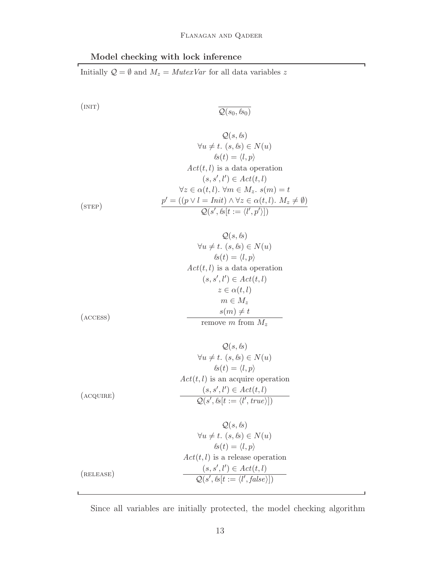# **Model checking with lock inference**

Initially  $\mathcal{Q} = \emptyset$  and  $M_z = \textit{MutexVar}$  for all data variables  $z$ 

$$
\overline{\mathcal{Q}(s_0, \ell s_0)}
$$

$$
Q(s, \ell s)
$$
  
\n
$$
\forall u \neq t. \ (s, \ell s) \in N(u)
$$
  
\n
$$
\ell s(t) = \langle l, p \rangle
$$
  
\n
$$
Act(t, l) \text{ is a data operation}
$$
  
\n
$$
(s, s', l') \in Act(t, l)
$$
  
\n
$$
\forall z \in \alpha(t, l). \ \forall m \in M_z. \ s(m) = t
$$
  
\n
$$
\underline{p'} = ((p \lor l =Init) \land \forall z \in \alpha(t, l). \ M_z \neq \emptyset)
$$
  
\n
$$
Q(s', \ell s[t := \langle l', p' \rangle])
$$

$$
Q(s, ls)
$$
  
\n
$$
\forall u \neq t. (s, ls) \in N(u)
$$
  
\n
$$
ls(t) = \langle l, p \rangle
$$
  
\n
$$
Act(t, l) \text{ is a data operation}
$$
  
\n
$$
(s, s', l') \in Act(t, l)
$$
  
\n
$$
z \in \alpha(t, l)
$$
  
\n
$$
m \in M_z
$$
  
\n
$$
s(m) \neq t
$$

remove m from  $M_z$ 

$$
Q(s, \ell s)
$$
  
\n
$$
\forall u \neq t. \ (s, \ell s) \in N(u)
$$
  
\n
$$
\ell s(t) = \langle l, p \rangle
$$
  
\n
$$
Act(t, l) \text{ is an acquire operation}
$$
  
\n
$$
(s, s', l') \in Act(t, l)
$$
  
\n
$$
Q(s', \ell s[t := \langle l', true \rangle])
$$

$$
Q(s, \ell s)
$$
  
\n
$$
\forall u \neq t. \ (s, \ell s) \in N(u)
$$
  
\n
$$
\ell s(t) = \langle l, p \rangle
$$
  
\n
$$
Act(t, l) \text{ is a release operation}
$$
  
\n
$$
(s, s', l') \in Act(t, l)
$$
  
\n
$$
Q(s', \ell s[t := \langle l', false \rangle])
$$

Since all variables are initially protected, the model checking algorithm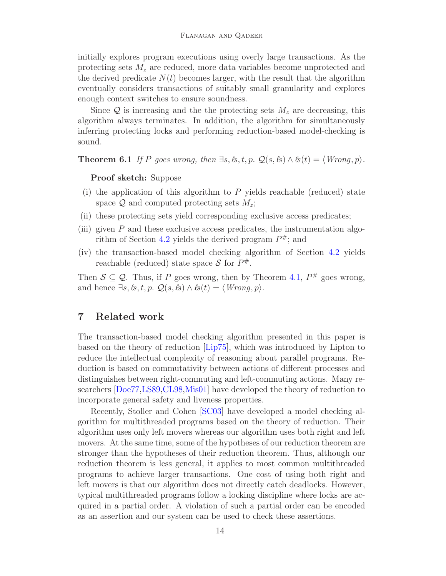initially explores program executions using overly large transactions. As the protecting sets  $M_z$  are reduced, more data variables become unprotected and the derived predicate  $N(t)$  becomes larger, with the result that the algorithm eventually considers transactions of suitably small granularity and explores enough context switches to ensure soundness.

Since  $\mathcal{Q}$  is increasing and the the protecting sets  $M_z$  are decreasing, this algorithm always terminates. In addition, the algorithm for simultaneously inferring protecting locks and performing reduction-based model-checking is sound.

**Theorem 6.1** If P goes wrong, then  $\exists s, \& t, p$ .  $\mathcal{Q}(s, \&) \land \& (t) = \langle Wronq, p \rangle$ .

#### **Proof sketch:** Suppose

- (i) the application of this algorithm to  $P$  yields reachable (reduced) state space  $\mathcal Q$  and computed protecting sets  $M_z$ ;
- (ii) these protecting sets yield corresponding exclusive access predicates;
- (iii) given  $P$  and these exclusive access predicates, the instrumentation algo-rithm of Section [4.2](#page-5-0) yields the derived program  $P^{\#}$ ; and
- (iv) the transaction-based model checking algorithm of Section [4.2](#page-5-0) yields reachable (reduced) state space S for  $P^{\#}$ .

Then  $S \subseteq Q$ . Thus, if P goes wrong, then by Theorem [4.1,](#page-7-0)  $P^{\#}$  goes wrong, and hence  $\exists s, \& t, p. \mathcal{Q}(s, \&) \wedge \& (t) = \langle \text{Wrong}, p \rangle.$ 

# **7 Related work**

The transaction-based model checking algorithm presented in this paper is based on the theory of reduction [\[Lip75\]](#page-16-0), which was introduced by Lipton to reduce the intellectual complexity of reasoning about parallel programs. Reduction is based on commutativity between actions of different processes and distinguishes between right-commuting and left-commuting actions. Many researchers [\[Doe77](#page-15-0)[,LS89](#page-16-1)[,CL98](#page-15-1)[,Mis01\]](#page-16-2) have developed the theory of reduction to incorporate general safety and liveness properties.

Recently, Stoller and Cohen [\[SC03\]](#page-17-0) have developed a model checking algorithm for multithreaded programs based on the theory of reduction. Their algorithm uses only left movers whereas our algorithm uses both right and left movers. At the same time, some of the hypotheses of our reduction theorem are stronger than the hypotheses of their reduction theorem. Thus, although our reduction theorem is less general, it applies to most common multithreaded programs to achieve larger transactions. One cost of using both right and left movers is that our algorithm does not directly catch deadlocks. However, typical multithreaded programs follow a locking discipline where locks are acquired in a partial order. A violation of such a partial order can be encoded as an assertion and our system can be used to check these assertions.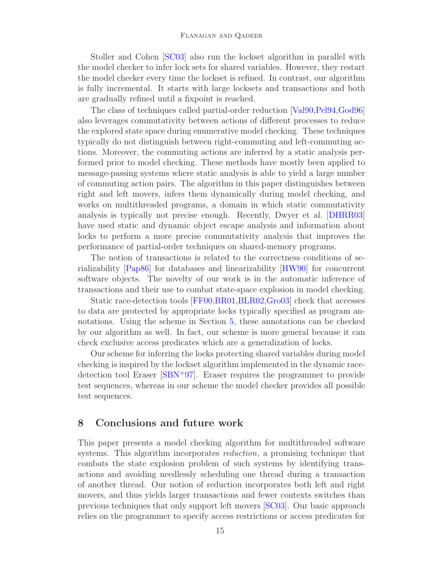Stoller and Cohen [\[SC03\]](#page-17-0) also run the lockset algorithm in parallel with the model checker to infer lock sets for shared variables. However, they restart the model checker every time the lockset is refined. In contrast, our algorithm is fully incremental. It starts with large locksets and transactions and both are gradually refined until a fixpoint is reached.

The class of techniques called partial-order reduction [\[Val90,](#page-17-1)[Pel94,](#page-16-7)[God96\]](#page-16-8) also leverages commutativity between actions of different processes to reduce the explored state space during enumerative model checking. These techniques typically do not distinguish between right-commuting and left-commuting actions. Moreover, the commuting actions are inferred by a static analysis performed prior to model checking. These methods have mostly been applied to message-passing systems where static analysis is able to yield a large number of commuting action pairs. The algorithm in this paper distinguishes between right and left movers, infers them dynamically during model checking, and works on multithreaded programs, a domain in which static commutativity analysis is typically not precise enough. Recently, Dwyer et al. [\[DHRR03\]](#page-15-2) have used static and dynamic object escape analysis and information about locks to perform a more precise commutativity analysis that improves the performance of partial-order techniques on shared-memory programs.

The notion of transactions is related to the correctness conditions of serializability [\[Pap86\]](#page-16-6) for databases and linearizability [\[HW90\]](#page-16-10) for concurrent software objects. The novelty of our work is in the automatic inference of transactions and their use to combat state-space explosion in model checking.

Static race-detection tools [\[FF00,](#page-15-3)[BR01,](#page-15-4)[BLR02,](#page-15-5)[Gro03\]](#page-16-11) check that accesses to data are protected by appropriate locks typically specified as program annotations. Using the scheme in Section [5,](#page-8-0) these annotations can be checked by our algorithm as well. In fact, our scheme is more general because it can check exclusive access predicates which are a generalization of locks.

Our scheme for inferring the locks protecting shared variables during model checking is inspired by the lockset algorithm implemented in the dynamic racedetection tool Eraser [\[SBN](#page-16-12)<sup>+</sup>97]. Eraser requires the programmer to provide test sequences, whereas in our scheme the model checker provides all possible test sequences.

### **8 Conclusions and future work**

This paper presents a model checking algorithm for multithreaded software systems. This algorithm incorporates *reduction*, a promising technique that combats the state explosion problem of such systems by identifying transactions and avoiding needlessly scheduling one thread during a transaction of another thread. Our notion of reduction incorporates both left and right movers, and thus yields larger transactions and fewer contexts switches than previous techniques that only support left movers [\[SC03\]](#page-17-0). Our basic approach relies on the programmer to specify access restrictions or access predicates for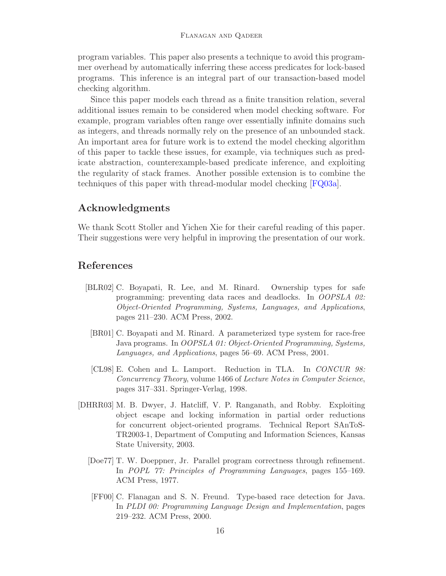program variables. This paper also presents a technique to avoid this programmer overhead by automatically inferring these access predicates for lock-based programs. This inference is an integral part of our transaction-based model checking algorithm.

Since this paper models each thread as a finite transition relation, several additional issues remain to be considered when model checking software. For example, program variables often range over essentially infinite domains such as integers, and threads normally rely on the presence of an unbounded stack. An important area for future work is to extend the model checking algorithm of this paper to tackle these issues, for example, via techniques such as predicate abstraction, counterexample-based predicate inference, and exploiting the regularity of stack frames. Another possible extension is to combine the techniques of this paper with thread-modular model checking [\[FQ03a\]](#page-16-13).

# **Acknowledgments**

We thank Scott Stoller and Yichen Xie for their careful reading of this paper. Their suggestions were very helpful in improving the presentation of our work.

## <span id="page-15-5"></span>**References**

- [BLR02] C. Boyapati, R. Lee, and M. Rinard. Ownership types for safe programming: preventing data races and deadlocks. In *OOPSLA 02: Object-Oriented Programming, Systems, Languages, and Applications*, pages 211–230. ACM Press, 2002.
- <span id="page-15-4"></span>[BR01] C. Boyapati and M. Rinard. A parameterized type system for race-free Java programs. In *OOPSLA 01: Object-Oriented Programming, Systems, Languages, and Applications*, pages 56–69. ACM Press, 2001.
- [CL98] E. Cohen and L. Lamport. Reduction in TLA. In *CONCUR 98: Concurrency Theory*, volume 1466 of *Lecture Notes in Computer Science*, pages 317–331. Springer-Verlag, 1998.
- <span id="page-15-3"></span><span id="page-15-2"></span><span id="page-15-1"></span><span id="page-15-0"></span>[DHRR03] M. B. Dwyer, J. Hatcliff, V. P. Ranganath, and Robby. Exploiting object escape and locking information in partial order reductions for concurrent object-oriented programs. Technical Report SAnToS-TR2003-1, Department of Computing and Information Sciences, Kansas State University, 2003.
	- [Doe77] T. W. Doeppner, Jr. Parallel program correctness through refinement. In *POPL 77: Principles of Programming Languages*, pages 155–169. ACM Press, 1977.
	- [FF00] C. Flanagan and S. N. Freund. Type-based race detection for Java. In *PLDI 00: Programming Language Design and Implementation*, pages 219–232. ACM Press, 2000.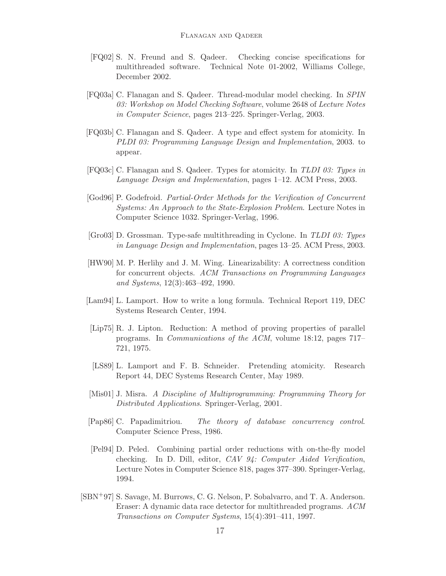- <span id="page-16-5"></span>[FQ02] S. N. Freund and S. Qadeer. Checking concise specifications for multithreaded software. Technical Note 01-2002, Williams College, December 2002.
- <span id="page-16-13"></span>[FQ03a] C. Flanagan and S. Qadeer. Thread-modular model checking. In *SPIN 03: Workshop on Model Checking Software*, volume 2648 of *Lecture Notes in Computer Science*, pages 213–225. Springer-Verlag, 2003.
- <span id="page-16-4"></span>[FQ03b] C. Flanagan and S. Qadeer. A type and effect system for atomicity. In *PLDI 03: Programming Language Design and Implementation*, 2003. to appear.
- <span id="page-16-3"></span>[FQ03c] C. Flanagan and S. Qadeer. Types for atomicity. In *TLDI 03: Types in Language Design and Implementation*, pages 1–12. ACM Press, 2003.
- <span id="page-16-8"></span>[God96] P. Godefroid. *Partial-Order Methods for the Verification of Concurrent Systems: An Approach to the State-Explosion Problem*. Lecture Notes in Computer Science 1032. Springer-Verlag, 1996.
- <span id="page-16-11"></span>[Gro03] D. Grossman. Type-safe multithreading in Cyclone. In *TLDI 03: Types in Language Design and Implementation*, pages 13–25. ACM Press, 2003.
- <span id="page-16-10"></span>[HW90] M. P. Herlihy and J. M. Wing. Linearizability: A correctness condition for concurrent objects. *ACM Transactions on Programming Languages and Systems*, 12(3):463–492, 1990.
- <span id="page-16-9"></span>[Lam94] L. Lamport. How to write a long formula. Technical Report 119, DEC Systems Research Center, 1994.
- <span id="page-16-0"></span>[Lip75] R. J. Lipton. Reduction: A method of proving properties of parallel programs. In *Communications of the ACM*, volume 18:12, pages 717– 721, 1975.
- <span id="page-16-1"></span>[LS89] L. Lamport and F. B. Schneider. Pretending atomicity. Research Report 44, DEC Systems Research Center, May 1989.
- <span id="page-16-2"></span>[Mis01] J. Misra. *A Discipline of Multiprogramming: Programming Theory for Distributed Applications*. Springer-Verlag, 2001.
- <span id="page-16-6"></span>[Pap86] C. Papadimitriou. *The theory of database concurrency control*. Computer Science Press, 1986.
- <span id="page-16-7"></span>[Pel94] D. Peled. Combining partial order reductions with on-the-fly model checking. In D. Dill, editor, *CAV 94: Computer Aided Verification*, Lecture Notes in Computer Science 818, pages 377–390. Springer-Verlag, 1994.
- <span id="page-16-12"></span>[SBN+97] S. Savage, M. Burrows, C. G. Nelson, P. Sobalvarro, and T. A. Anderson. Eraser: A dynamic data race detector for multithreaded programs. *ACM Transactions on Computer Systems*, 15(4):391–411, 1997.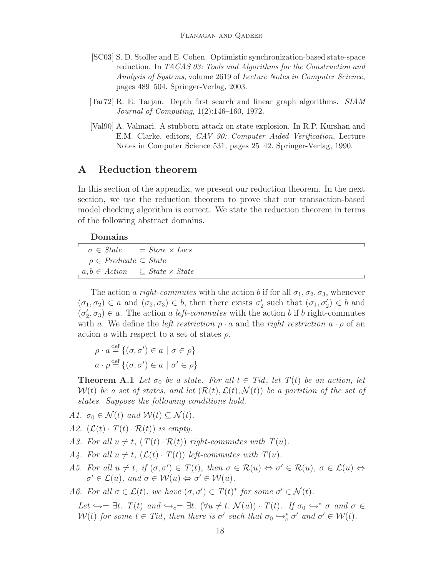- <span id="page-17-0"></span>[SC03] S. D. Stoller and E. Cohen. Optimistic synchronization-based state-space reduction. In *TACAS 03: Tools and Algorithms for the Construction and Analysis of Systems*, volume 2619 of *Lecture Notes in Computer Science*, pages 489–504. Springer-Verlag, 2003.
- <span id="page-17-3"></span>[Tar72] R. E. Tarjan. Depth first search and linear graph algorithms. *SIAM Journal of Computing*, 1(2):146–160, 1972.
- <span id="page-17-1"></span>[Val90] A. Valmari. A stubborn attack on state explosion. In R.P. Kurshan and E.M. Clarke, editors, *CAV 90: Computer Aided Verification*, Lecture Notes in Computer Science 531, pages 25–42. Springer-Verlag, 1990.

## **A Reduction theorem**

In this section of the appendix, we present our reduction theorem. In the next section, we use the reduction theorem to prove that our transaction-based model checking algorithm is correct. We state the reduction theorem in terms of the following abstract domains.

#### **Domains**

|                                                  | $\sigma \in State$ = Store $\times$ Locs |
|--------------------------------------------------|------------------------------------------|
| $\rho \in \text{Predict} \subseteq \text{State}$ |                                          |
| $a, b \in Action \subseteq State \times State$   |                                          |

The action a right-commutes with the action b if for all  $\sigma_1, \sigma_2, \sigma_3$ , whenever  $(\sigma_1, \sigma_2) \in a$  and  $(\sigma_2, \sigma_3) \in b$ , then there exists  $\sigma'_2$  such that  $(\sigma_1, \sigma'_2) \in b$  and  $(\sigma'_2, \sigma_3) \in a$ . The action a left-commutes with the action b if b right-commutes with a. We define the *left restriction*  $\rho \cdot a$  and the *right restriction*  $a \cdot \rho$  of an action a with respect to a set of states  $\rho$ .

$$
\rho \cdot a \stackrel{\text{def}}{=} \{ (\sigma, \sigma') \in a \mid \sigma \in \rho \}
$$

$$
a \cdot \rho \stackrel{\text{def}}{=} \{ (\sigma, \sigma') \in a \mid \sigma' \in \rho \}
$$

<span id="page-17-2"></span>**Theorem A.1** Let  $\sigma_0$  be a state. For all  $t \in Tid$ , let  $T(t)$  be an action, let  $W(t)$  be a set of states, and let  $(\mathcal{R}(t), \mathcal{L}(t), \mathcal{N}(t))$  be a partition of the set of states. Suppose the following conditions hold.

- A1.  $\sigma_0 \in \mathcal{N}(t)$  and  $\mathcal{W}(t) \subseteq \mathcal{N}(t)$ .
- A2.  $(\mathcal{L}(t) \cdot T(t) \cdot \mathcal{R}(t))$  is empty.
- A3. For all  $u \neq t$ ,  $(T(t) \cdot \mathcal{R}(t))$  right-commutes with  $T(u)$ .
- A4. For all  $u \neq t$ ,  $(\mathcal{L}(t) \cdot T(t))$  left-commutes with  $T(u)$ .
- A5. For all  $u \neq t$ , if  $(\sigma, \sigma') \in T(t)$ , then  $\sigma \in \mathcal{R}(u) \Leftrightarrow \sigma' \in \mathcal{R}(u)$ ,  $\sigma \in \mathcal{L}(u) \Leftrightarrow$  $\sigma' \in \mathcal{L}(u)$ , and  $\sigma \in \mathcal{W}(u) \Leftrightarrow \sigma' \in \mathcal{W}(u)$ .

A6. For all  $\sigma \in \mathcal{L}(t)$ , we have  $(\sigma, \sigma') \in T(t)^*$  for some  $\sigma' \in \mathcal{N}(t)$ .

Let  $\hookrightarrow = \exists t$ .  $T(t)$  and  $\hookrightarrow_c = \exists t$ .  $(\forall u \neq t$ .  $\mathcal{N}(u)) \cdot T(t)$ . If  $\sigma_0 \hookrightarrow^* \sigma$  and  $\sigma \in$  $W(t)$  for some  $t \in Tid$ , then there is  $\sigma'$  such that  $\sigma_0 \hookrightarrow_c^* \sigma'$  and  $\sigma' \in W(t)$ .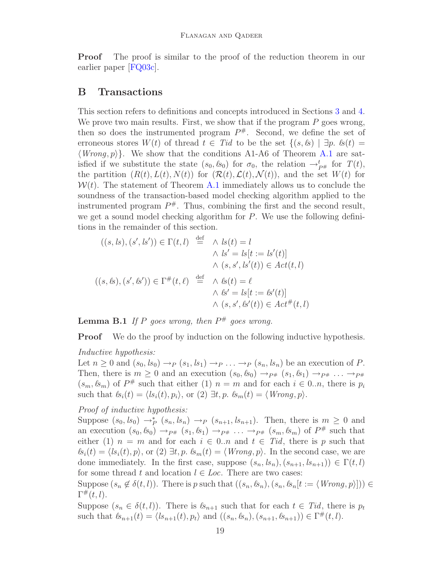**Proof** The proof is similar to the proof of the reduction theorem in our earlier paper [\[FQ03c\]](#page-16-3).

## **B Transactions**

This section refers to definitions and concepts introduced in Sections [3](#page-3-0) and [4.](#page-4-0) We prove two main results. First, we show that if the program  $P$  goes wrong, then so does the instrumented program  $P^{\#}$ . Second, we define the set of erroneous stores  $W(t)$  of thread  $t \in Tid$  to be the set  $\{(s, \ell s) \mid \exists p. \ \ell s(t) =$  $\langle Wrong, p \rangle$ . We show that the conditions A1-A6 of Theorem [A.1](#page-17-2) are satisfied if we substitute the state  $(s_0, \ell s_0)$  for  $\sigma_0$ , the relation  $\rightarrow_{P^{\#}}^t$  for  $T(t)$ , the partition  $(R(t), L(t), N(t))$  for  $(\mathcal{R}(t), \mathcal{L}(t), \mathcal{N}(t))$ , and the set  $W(t)$  for  $\mathcal{W}(t)$ . The statement of Theorem [A.1](#page-17-2) immediately allows us to conclude the soundness of the transaction-based model checking algorithm applied to the instrumented program  $P^{\#}$ . Thus, combining the first and the second result, we get a sound model checking algorithm for P. We use the following definitions in the remainder of this section.

$$
((s, ls), (s', ls')) \in \Gamma(t, l) \stackrel{\text{def}}{=} \wedge ls(t) = l
$$
  

$$
\wedge ls' = ls[t := ls'(t)]
$$
  

$$
\wedge (s, s', ls'(t)) \in Act(t, l)
$$
  

$$
((s, ks), (s', ks')) \in \Gamma^{\#}(t, \ell) \stackrel{\text{def}}{=} \wedge ls(t) = \ell
$$
  

$$
\wedge ls' = ls[t := ks'(t)]
$$
  

$$
\wedge (s, s', ls'(t)) \in Act^{\#}(t, l)
$$

<span id="page-18-0"></span>**Lemma B.1** If P goes wrong, then  $P^{\#}$  goes wrong.

**Proof** We do the proof by induction on the following inductive hypothesis.

#### Inductive hypothesis:

Let  $n \geq 0$  and  $(s_0, ls_0) \rightarrow_P (s_1, ls_1) \rightarrow_P \ldots \rightarrow_P (s_n, ls_n)$  be an execution of P. Then, there is  $m \geq 0$  and an execution  $(s_0, \ell s_0) \rightarrow_{P^*} (s_1, \ell s_1) \rightarrow_{P^*} \ldots \rightarrow_{P^*}$  $(s_m, \ell s_m)$  of  $P^{\#}$  such that either (1)  $n = m$  and for each  $i \in 0..n$ , there is  $p_i$ such that  $\mathcal{B}_i(t) = \langle \mathcal{B}_i(t), p_i \rangle$ , or  $(2) \exists t, p$ .  $\mathcal{B}_m(t) = \langle \text{Wrong}, p \rangle$ .

## Proof of inductive hypothesis:

Suppose  $(s_0, ls_0) \rightarrow_P^* (s_n, ls_n) \rightarrow_P (s_{n+1}, ls_{n+1})$ . Then, there is  $m \geq 0$  and an execution  $(s_0, \mathcal{S}_0) \rightarrow_{P^{\#}} (s_1, \mathcal{S}_1) \rightarrow_{P^{\#}} \ldots \rightarrow_{P^{\#}} (s_m, \mathcal{S}_m)$  of  $P^{\#}$  such that either (1)  $n = m$  and for each  $i \in 0..n$  and  $t \in Tid$ , there is p such that  $\ell s_i(t) = \langle ls_i(t), p \rangle$ , or (2)  $\exists t, p$ .  $\ell s_m(t) = \langle Wrong, p \rangle$ . In the second case, we are done immediately. In the first case, suppose  $(s_n, ls_n), (s_{n+1}, ls_{n+1}) \in \Gamma(t, l)$ for some thread t and location  $l \in Loc$ . There are two cases:

Suppose  $(s_n \notin \delta(t, l))$ . There is p such that  $((s_n, \mathcal{B}_n), (s_n, \mathcal{B}_n[t := \langle \text{Wrong}, p \rangle])) \in$  $\Gamma^{\#}(t,l).$ 

Suppose  $(s_n \in \delta(t, l))$ . There is  $\mathcal{S}_{n+1}$  such that for each  $t \in Tid$ , there is  $p_t$ such that  $s_{n+1}(t) = \langle s_{n+1}(t), p_t \rangle$  and  $((s_n, s_n), (s_{n+1}, s_{n+1})) \in \Gamma^{\#}(t, l).$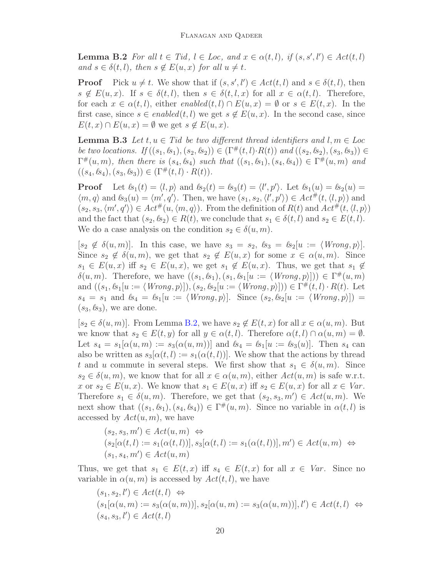<span id="page-19-0"></span>**Lemma B.2** For all  $t \in Tid$ ,  $l \in Loc$ , and  $x \in \alpha(t, l)$ , if  $(s, s', l') \in Act(t, l)$ and  $s \in \delta(t, l)$ , then  $s \notin E(u, x)$  for all  $u \neq t$ .

**Proof** Pick  $u \neq t$ . We show that if  $(s, s', l') \in \text{Act}(t, l)$  and  $s \in \delta(t, l)$ , then  $s \notin E(u, x)$ . If  $s \in \delta(t, l)$ , then  $s \in \delta(t, l, x)$  for all  $x \in \alpha(t, l)$ . Therefore, for each  $x \in \alpha(t, l)$ , either enabled $(t, l) \cap E(u, x) = \emptyset$  or  $s \in E(t, x)$ . In the first case, since  $s \in enabled(t, l)$  we get  $s \notin E(u, x)$ . In the second case, since  $E(t, x) \cap E(u, x) = \emptyset$  we get  $s \notin E(u, x)$ .

<span id="page-19-1"></span>**Lemma B.3** Let  $t, u \in T$ id be two different thread identifiers and  $l, m \in Loc$ be two locations. If  $((s_1, k_1), (s_2, k_2)) \in (\Gamma^{\#}(t, l) \cdot R(t))$  and  $((s_2, k_2), (s_3, k_3)) \in$  $\Gamma^{\#}(u,m)$ , then there is  $(s_4, s_4)$  such that  $((s_1, s_1), (s_4, s_4)) \in \Gamma^{\#}(u,m)$  and  $((s_4, \ell s_4), (s_3, \ell s_3)) \in (\Gamma^\#(t, l) \cdot R(t)).$ 

**Proof** Let  $\mathcal{B}_1(t) = \langle l, p \rangle$  and  $\mathcal{B}_2(t) = \mathcal{B}_3(t) = \langle l', p' \rangle$ . Let  $\mathcal{B}_1(u) = \mathcal{B}_2(u) =$  $\langle m, q \rangle$  and  $\ell s_3(u) = \langle m', q' \rangle$ . Then, we have  $(s_1, s_2, \langle l', p' \rangle) \in \text{Act}^{\#}(t, \langle l, p \rangle)$  and  $(s_2, s_3, \langle m', q' \rangle) \in \text{Act}^{\#}(u, \langle m, q \rangle)$ . From the definition of  $R(t)$  and  $\text{Act}^{\#}(t, \langle l, p \rangle)$ and the fact that  $(s_2, \ell s_2) \in R(t)$ , we conclude that  $s_1 \in \delta(t, l)$  and  $s_2 \in E(t, l)$ . We do a case analysis on the condition  $s_2 \in \delta(u, m)$ .

 $[s_2 \notin \delta(u,m)]$ . In this case, we have  $s_3 = s_2$ ,  $s_3 = s_2[u := \langle W\text{rong}, p \rangle]$ . Since  $s_2 \notin \delta(u,m)$ , we get that  $s_2 \notin E(u,x)$  for some  $x \in \alpha(u,m)$ . Since  $s_1 \in E(u, x)$  iff  $s_2 \in E(u, x)$ , we get  $s_1 \notin E(u, x)$ . Thus, we get that  $s_1 \notin E(u, x)$  $\delta(u,m)$ . Therefore, we have  $((s_1,\mathcal{B}_1),(s_1,\mathcal{B}_1[u := \langle Wrong,p \rangle])) \in \Gamma^{\#}(u,m)$ and  $((s_1, \mathcal{B}_1[u := \langle Wrong, p \rangle]), (s_2, \mathcal{B}_2[u := \langle Wrong, p \rangle])) \in \Gamma^{\#}(t, l) \cdot R(t)$ . Let  $s_4 = s_1$  and  $s_4 = s_1[u := \langle Wrong, p \rangle]$ . Since  $(s_2, s_2[u := \langle Wrong, p \rangle])$  $(s_3, \ell s_3)$ , we are done.

 $[s_2 \in \delta(u,m)]$ . From Lemma [B.2,](#page-19-0) we have  $s_2 \notin E(t,x)$  for all  $x \in \alpha(u,m)$ . But we know that  $s_2 \in E(t, y)$  for all  $y \in \alpha(t, l)$ . Therefore  $\alpha(t, l) \cap \alpha(u, m) = \emptyset$ . Let  $s_4 = s_1[\alpha(u,m) := s_3(\alpha(u,m))]$  and  $s_4 = s_1[u := s_3(u)]$ . Then  $s_4$  can also be written as  $s_3[\alpha(t, l) := s_1(\alpha(t, l))]$ . We show that the actions by thread t and u commute in several steps. We first show that  $s_1 \in \delta(u,m)$ . Since  $s_2 \in \delta(u,m)$ , we know that for all  $x \in \alpha(u,m)$ , either  $Act(u,m)$  is safe w.r.t. x or  $s_2 \in E(u, x)$ . We know that  $s_1 \in E(u, x)$  iff  $s_2 \in E(u, x)$  for all  $x \in Var$ . Therefore  $s_1 \in \delta(u,m)$ . Therefore, we get that  $(s_2, s_3, m') \in \text{Act}(u, m)$ . We next show that  $((s_1, k_1), (s_4, k_4)) \in \Gamma^{\#}(u, m)$ . Since no variable in  $\alpha(t, l)$  is accessed by  $Act(u, m)$ , we have

$$
(s_2, s_3, m') \in \text{Act}(u, m) \Leftrightarrow
$$
  
\n
$$
(s_2[\alpha(t, l) := s_1(\alpha(t, l))], s_3[\alpha(t, l) := s_1(\alpha(t, l))], m') \in \text{Act}(u, m) \Leftrightarrow
$$
  
\n
$$
(s_1, s_4, m') \in \text{Act}(u, m)
$$

Thus, we get that  $s_1 \in E(t, x)$  iff  $s_4 \in E(t, x)$  for all  $x \in Var$ . Since no variable in  $\alpha(u, m)$  is accessed by  $Act(t, l)$ , we have

$$
(s_1, s_2, l') \in Act(t, l) \Leftrightarrow
$$
  
\n
$$
(s_1[\alpha(u, m) := s_3(\alpha(u, m))], s_2[\alpha(u, m) := s_3(\alpha(u, m))], l') \in Act(t, l) \Leftrightarrow
$$
  
\n
$$
(s_4, s_3, l') \in Act(t, l)
$$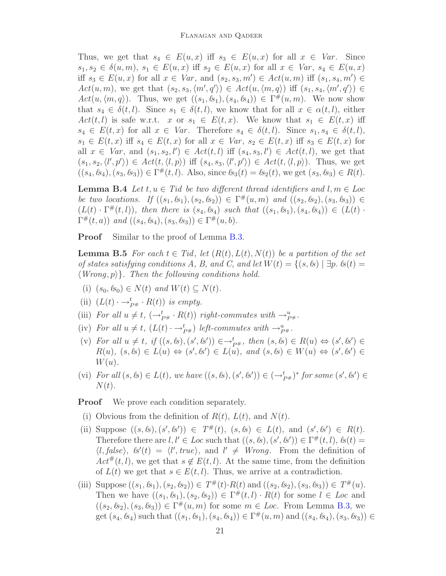Thus, we get that  $s_4 \in E(u, x)$  iff  $s_3 \in E(u, x)$  for all  $x \in Var$ . Since  $s_1, s_2 \in \delta(u, m), s_1 \in E(u, x)$  iff  $s_2 \in E(u, x)$  for all  $x \in Var, s_4 \in E(u, x)$ iff  $s_3 \in E(u, x)$  for all  $x \in Var$ , and  $(s_2, s_3, m') \in Act(u, m)$  iff  $(s_1, s_4, m') \in$  $Act(u,m)$ , we get that  $(s_2, s_3, \langle m', q' \rangle) \in Act(u, \langle m, q \rangle)$  iff  $(s_1, s_4, \langle m', q' \rangle) \in$  $Act(u, \langle m, q \rangle)$ . Thus, we get  $((s_1, \mathcal{L}_1), (s_4, \mathcal{L}_4)) \in \Gamma^{\#}(u, m)$ . We now show that  $s_4 \in \delta(t, l)$ . Since  $s_1 \in \delta(t, l)$ , we know that for all  $x \in \alpha(t, l)$ , either  $Act(t, l)$  is safe w.r.t. x or  $s_1 \in E(t, x)$ . We know that  $s_1 \in E(t, x)$  iff  $s_4 \in E(t, x)$  for all  $x \in Var$ . Therefore  $s_4 \in \delta(t, l)$ . Since  $s_1, s_4 \in \delta(t, l)$ ,  $s_1 \in E(t, x)$  iff  $s_4 \in E(t, x)$  for all  $x \in Var$ ,  $s_2 \in E(t, x)$  iff  $s_3 \in E(t, x)$  for all  $x \in Var$ , and  $(s_1, s_2, l') \in Act(t, l)$  iff  $(s_4, s_3, l') \in Act(t, l)$ , we get that  $(s_1, s_2, \langle l', p' \rangle) \in \text{Act}(t, \langle l, p \rangle)$  iff  $(s_4, s_3, \langle l', p' \rangle) \in \text{Act}(t, \langle l, p \rangle)$ . Thus, we get  $((s_4, \mathcal{B}_4), (s_3, \mathcal{B}_3)) \in \Gamma^{\#}(t, l)$ . Also, since  $\mathcal{B}_3(t) = \mathcal{B}_2(t)$ , we get  $(s_3, \mathcal{B}_3) \in R(t)$ .

<span id="page-20-1"></span>**Lemma B.4** Let  $t, u \in T$ id be two different thread identifiers and  $l, m \in Loc$ be two locations. If  $((s_1, s_1), (s_2, s_2)) \in \Gamma^{\#}(u, m)$  and  $((s_2, s_2), (s_3, s_3)) \in$  $(L(t) \cdot \Gamma^{\#}(t, l)),$  then there is  $(s_4, \ell s_4)$  such that  $((s_1, \ell s_1), (s_4, \ell s_4)) \in (L(t) \cdot$  $\Gamma^{\#}(t, a)$ ) and  $((s_4, \mathcal{B}_4), (s_3, \mathcal{B}_3)) \in \Gamma^{\#}(u, b)$ .

<span id="page-20-0"></span>**Proof** Similar to the proof of Lemma [B.3.](#page-19-1)

**Lemma B.5** For each  $t \in Tid$ , let  $(R(t), L(t), N(t))$  be a partition of the set of states satisfying conditions A, B, and C, and let  $W(t) = \{(s, \& s) | \exists p. \& s(t) =$  $\langle Wrong, p \rangle$ . Then the following conditions hold.

- (i)  $(s_0, \ell s_0) \in N(t)$  and  $W(t) \subseteq N(t)$ .
- (ii)  $(L(t) \cdot \rightarrow_{P^{\#}}^t \cdot R(t))$  is empty.
- (iii) For all  $u \neq t$ ,  $(\rightarrow_{P^{\#}}^t \cdot R(t))$  right-commutes with  $\rightarrow_{P^{\#}}^u$ .
- (iv) For all  $u \neq t$ ,  $(L(t) \cdot \rightarrow_{P^{\#}}^{t})$  left-commutes with  $\rightarrow_{P^{\#}}^{u}$ .
- (v) For all  $u \neq t$ , if  $((s, \ell s), (s', \ell s')) \in \rightarrow_{P^{\#}}^t$ , then  $(s, \ell s) \in R(u) \Leftrightarrow (s', \ell s') \in$  $R(u), (s, s) \in L(u) \Leftrightarrow (s', s') \in L(u), \text{ and } (s, s) \in W(u) \Leftrightarrow (s', s') \in L(u)$  $W(u)$ .
- (vi) For all  $(s, \&) \in L(t)$ , we have  $((s, \&), (s', \&')) \in (\rightarrow_{P^{\#}}^{\{t\}})^*$  for some  $(s', \&') \in$  $N(t)$ .

**Proof** We prove each condition separately.

- (i) Obvious from the definition of  $R(t)$ ,  $L(t)$ , and  $N(t)$ .
- (ii) Suppose  $((s, \&), (s', \&')) \in T^{\#}(t), (s, \&) \in L(t), \text{ and } (s', \&') \in R(t).$ Therefore there are  $l, l' \in Loc$  such that  $((s, k), (s', k')) \in \Gamma^{\#}(t, l), k(t) =$  $\langle l, false \rangle$ ,  $\langle s'(t) = \langle l', true \rangle$ , and  $l' \neq Wrong$ . From the definition of  $Act^{\#}(t, l)$ , we get that  $s \notin E(t, l)$ . At the same time, from the definition of  $L(t)$  we get that  $s \in E(t, l)$ . Thus, we arrive at a contradiction.
- (iii) Suppose  $((s_1, \ell s_1), (s_2, \ell s_2)) \in T^{\#}(t) \cdot R(t)$  and  $((s_2, \ell s_2), (s_3, \ell s_3)) \in T^{\#}(u)$ . Then we have  $((s_1, k_1), (s_2, k_2)) \in \Gamma^{\#}(t, l) \cdot R(t)$  for some  $l \in Loc$  and  $((s_2, \mathcal{B}_2), (s_3, \mathcal{B}_3)) \in \Gamma^{\#}(u, m)$  for some  $m \in Loc$ . From Lemma [B.3,](#page-19-1) we get  $(s_4, \ell s_4)$  such that  $((s_1, \ell s_1), (s_4, \ell s_4)) \in \Gamma^{\#}(u, m)$  and  $((s_4, \ell s_4), (s_3, \ell s_3)) \in$